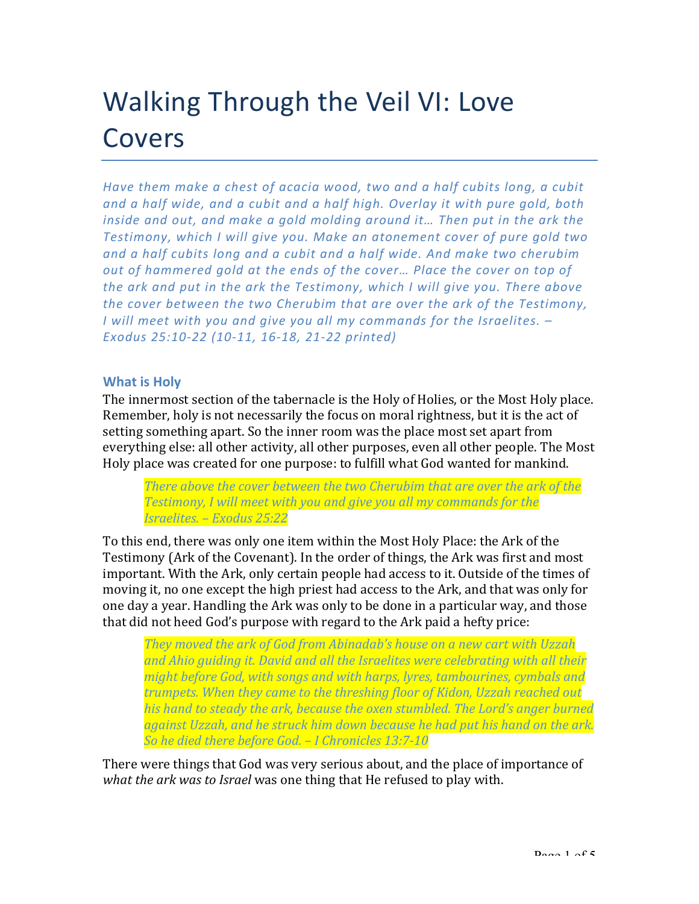# Walking Through the Veil VI: Love Covers

*Have* them make a chest of acacia wood, two and a half cubits long, a cubit and a half wide, and a cubit and a half high. Overlay it with pure gold, both *inside* and out, and make a gold molding around it... Then put in the ark the **Testimony, which I will give you. Make an atonement cover of pure gold two** and a half cubits long and a cubit and a half wide. And make two cherubim *out* of hammered gold at the ends of the cover... Place the cover on top of *the ark and put in the ark the Testimony, which I will give you. There above the cover between the two Cherubim that are over the ark of the Testimony, I* will meet with you and give you all my commands for the Israelites.  $-$ *Exodus 25:10-22 (10-11, 16-18, 21-22 printed)*

#### **What is Holy**

The innermost section of the tabernacle is the Holy of Holies, or the Most Holy place. Remember, holy is not necessarily the focus on moral rightness, but it is the act of setting something apart. So the inner room was the place most set apart from everything else: all other activity, all other purposes, even all other people. The Most Holy place was created for one purpose: to fulfill what God wanted for mankind.

*There above the cover between the two Cherubim that are over the ark of the* **Testimony, I will meet with you and give you all my commands for the** *Israelites. – Exodus 25:22*

To this end, there was only one item within the Most Holy Place: the Ark of the Testimony (Ark of the Covenant). In the order of things, the Ark was first and most important. With the Ark, only certain people had access to it. Outside of the times of moving it, no one except the high priest had access to the Ark, and that was only for one day a year. Handling the Ark was only to be done in a particular way, and those that did not heed God's purpose with regard to the Ark paid a hefty price:

*They moved the ark of God from Abinadab's house on a new cart with Uzzah* and Ahio auiding it. David and all the Israelites were celebrating with all their *might before God, with songs and with harps, lyres, tambourines, cymbals and trumpets. When they came to the threshing floor of Kidon, Uzzah reached out*  his hand to steady the ark, because the oxen stumbled. The Lord's anger burned *against Uzzah, and he struck him down because he had put his hand on the ark. So he died there before God.* – *I Chronicles* 13:7-10

There were things that God was very serious about, and the place of importance of what the ark was to *Israel* was one thing that He refused to play with.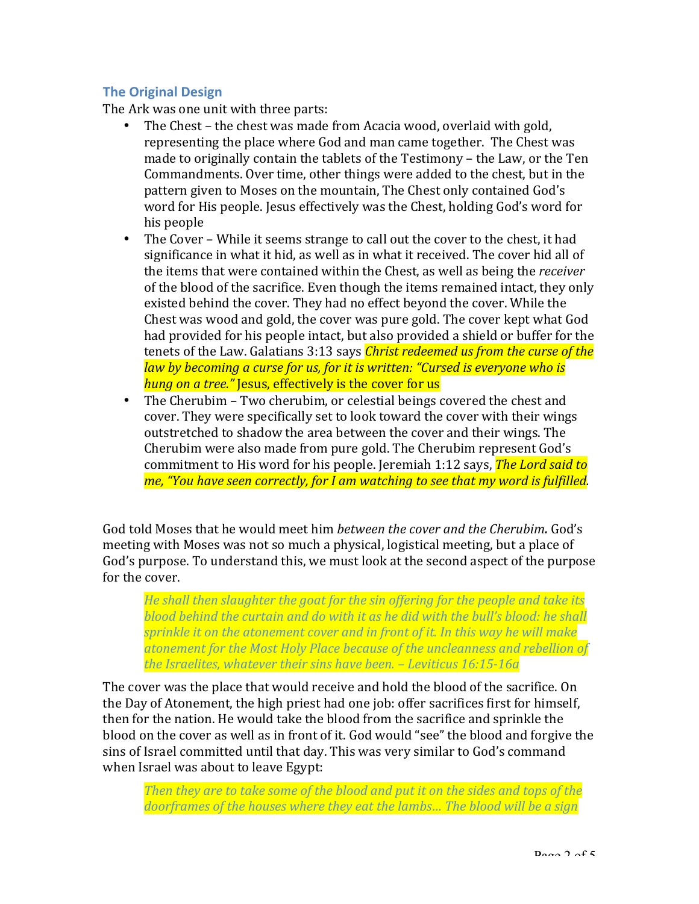## **The Original Design**

The Ark was one unit with three parts:

- The Chest the chest was made from Acacia wood, overlaid with gold, representing the place where God and man came together. The Chest was made to originally contain the tablets of the  $Testimony -$  the Law, or the  $Ten$ Commandments. Over time, other things were added to the chest, but in the pattern given to Moses on the mountain, The Chest only contained God's word for His people. Jesus effectively was the Chest, holding God's word for his people
- The Cover While it seems strange to call out the cover to the chest, it had significance in what it hid, as well as in what it received. The cover hid all of the items that were contained within the Chest, as well as being the *receiver* of the blood of the sacrifice. Even though the items remained intact, they only existed behind the cover. They had no effect beyond the cover. While the Chest was wood and gold, the cover was pure gold. The cover kept what God had provided for his people intact, but also provided a shield or buffer for the tenets of the Law. Galatians 3:13 says *Christ redeemed us from the curse of the law by becoming a curse for us, for it is written: "Cursed is everyone who is hung on a tree."* Jesus, effectively is the cover for us
- The Cherubim Two cherubim, or celestial beings covered the chest and cover. They were specifically set to look toward the cover with their wings outstretched to shadow the area between the cover and their wings. The Cherubim were also made from pure gold. The Cherubim represent God's commitment to His word for his people. Jeremiah 1:12 says, *The Lord said to me, "You have seen correctly, for I am watching to see that my word is fulfilled.*

God told Moses that he would meet him *between the cover and the Cherubim*. God's meeting with Moses was not so much a physical, logistical meeting, but a place of God's purpose. To understand this, we must look at the second aspect of the purpose for the cover.

*He* shall then slaughter the goat for the sin offering for the people and take its *blood behind the curtain and do with it as he did with the bull's blood: he shall sprinkle it on the atonement cover and in front of it. In this way he will make* atonement for the Most Holy Place because of the uncleanness and rebellion of the Israelites, whatever their sins have been. - Leviticus 16:15-16a

The cover was the place that would receive and hold the blood of the sacrifice. On the Day of Atonement, the high priest had one job: offer sacrifices first for himself, then for the nation. He would take the blood from the sacrifice and sprinkle the blood on the cover as well as in front of it. God would "see" the blood and forgive the sins of Israel committed until that day. This was very similar to God's command when Israel was about to leave Egypt:

*Then they are to take some of the blood and put it on the sides and tops of the doorframes of the houses where they eat the lambs... The blood will be a sign*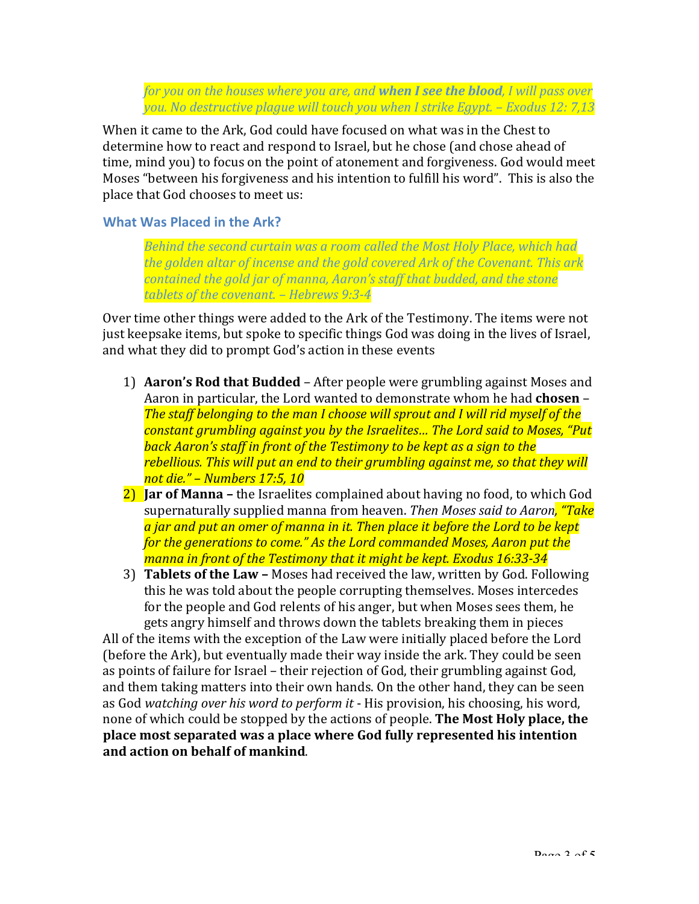*for you on the houses where you are, and when I see the blood, I will pass over you.* No destructive plague will touch you when I strike Egypt. – Exodus 12: 7,13

When it came to the Ark, God could have focused on what was in the Chest to determine how to react and respond to Israel, but he chose (and chose ahead of time, mind you) to focus on the point of atonement and forgiveness. God would meet Moses "between his forgiveness and his intention to fulfill his word". This is also the place that God chooses to meet us:

### **What Was Placed in the Ark?**

**Behind the second curtain was a room called the Most Holy Place, which had** the golden altar of incense and the gold covered Ark of the Covenant. This ark *contained the gold jar of manna, Aaron's staff that budded, and the stone* tablets of the covenant. - Hebrews 9:3-4

Over time other things were added to the Ark of the Testimony. The items were not just keepsake items, but spoke to specific things God was doing in the lives of Israel, and what they did to prompt God's action in these events

- 1) **Aaron's Rod that Budded** After people were grumbling against Moses and Aaron in particular, the Lord wanted to demonstrate whom he had **chosen** – The staff belonging to the man I choose will sprout and I will rid myself of the *constant grumbling against you by the Israelites... The Lord said to Moses, "Put* **back Aaron's staff in front of the Testimony to be kept as a sign to the** rebellious. This will put an end to their grumbling against me, so that they will *not die." – Numbers 17:5, 10*
- **2)** Jar of Manna the Israelites complained about having no food, to which God supernaturally supplied manna from heaven. *Then Moses said to Aaron,* "Take a jar and put an omer of manna in it. Then place it before the Lord to be kept *for the generations to come."* As the Lord commanded Moses, Aaron put the manna in front of the Testimony that it might be kept. Exodus 16:33-34
- 3) **Tablets of the Law** Moses had received the law, written by God. Following this he was told about the people corrupting themselves. Moses intercedes for the people and God relents of his anger, but when Moses sees them, he gets angry himself and throws down the tablets breaking them in pieces

All of the items with the exception of the Law were initially placed before the Lord (before the Ark), but eventually made their way inside the ark. They could be seen as points of failure for Israel – their rejection of God, their grumbling against God, and them taking matters into their own hands. On the other hand, they can be seen as God watching over his word to perform it - His provision, his choosing, his word, none of which could be stopped by the actions of people. The Most Holy place, the **place most separated was a place where God fully represented his intention** and action on behalf of mankind.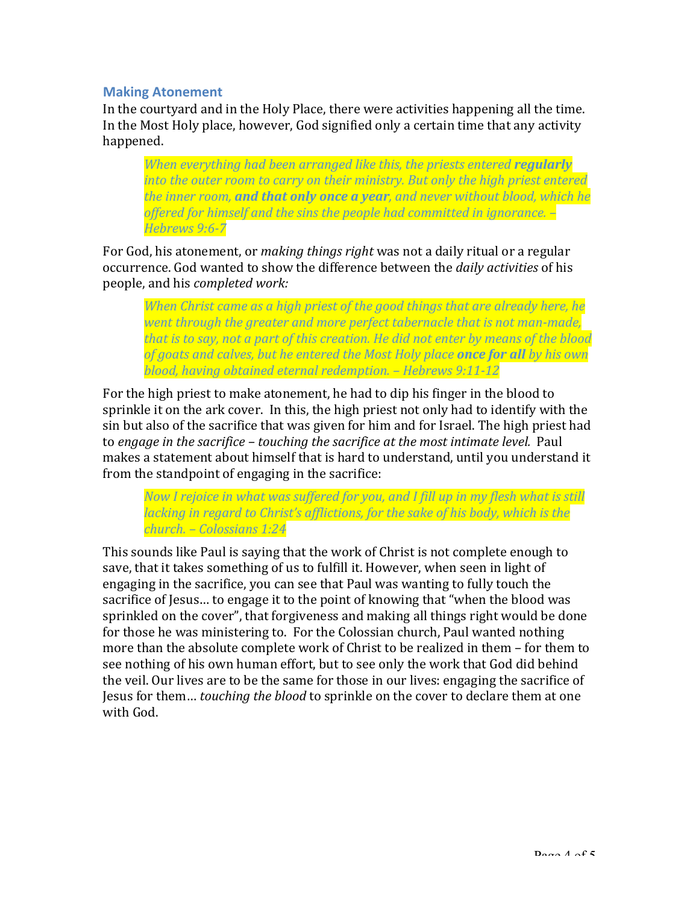#### **Making Atonement**

In the courtyard and in the Holy Place, there were activities happening all the time. In the Most Holy place, however, God signified only a certain time that any activity happened. 

*When everything had been arranged like this, the priests entered regularly into the outer room to carry on their ministry. But only the high priest entered the inner room, and that only once a year, and never without blood, which he* offered for himself and the sins the people had committed in ignorance.  $-$ *Hebrews 9:6-7*

For God, his atonement, or *making things right* was not a daily ritual or a regular occurrence. God wanted to show the difference between the *daily activities* of his people, and his *completed work:* 

*When Christ came as a high priest of the good things that are already here, he went through the greater and more perfect tabernacle that is not man-made,* that is to say, not a part of this creation. He did not enter by means of the blood *of goats and calves, but he entered the Most Holy place once for all <i>by his own blood, having obtained eternal redemption. – Hebrews 9:11-12*

For the high priest to make atonement, he had to dip his finger in the blood to sprinkle it on the ark cover. In this, the high priest not only had to identify with the sin but also of the sacrifice that was given for him and for Israel. The high priest had to engage in the sacrifice – touching the sacrifice at the most intimate level. Paul makes a statement about himself that is hard to understand, until you understand it from the standpoint of engaging in the sacrifice:

*Now I rejoice in what was suffered for you, and I fill up in my flesh what is still lacking* in regard to Christ's afflictions, for the sake of his body, which is the *church. – Colossians 1:24*

This sounds like Paul is saying that the work of Christ is not complete enough to save, that it takes something of us to fulfill it. However, when seen in light of engaging in the sacrifice, you can see that Paul was wanting to fully touch the sacrifice of Jesus... to engage it to the point of knowing that "when the blood was sprinkled on the cover", that forgiveness and making all things right would be done for those he was ministering to. For the Colossian church, Paul wanted nothing more than the absolute complete work of Christ to be realized in them - for them to see nothing of his own human effort, but to see only the work that God did behind the veil. Our lives are to be the same for those in our lives: engaging the sacrifice of Jesus for them... *touching the blood* to sprinkle on the cover to declare them at one with God.